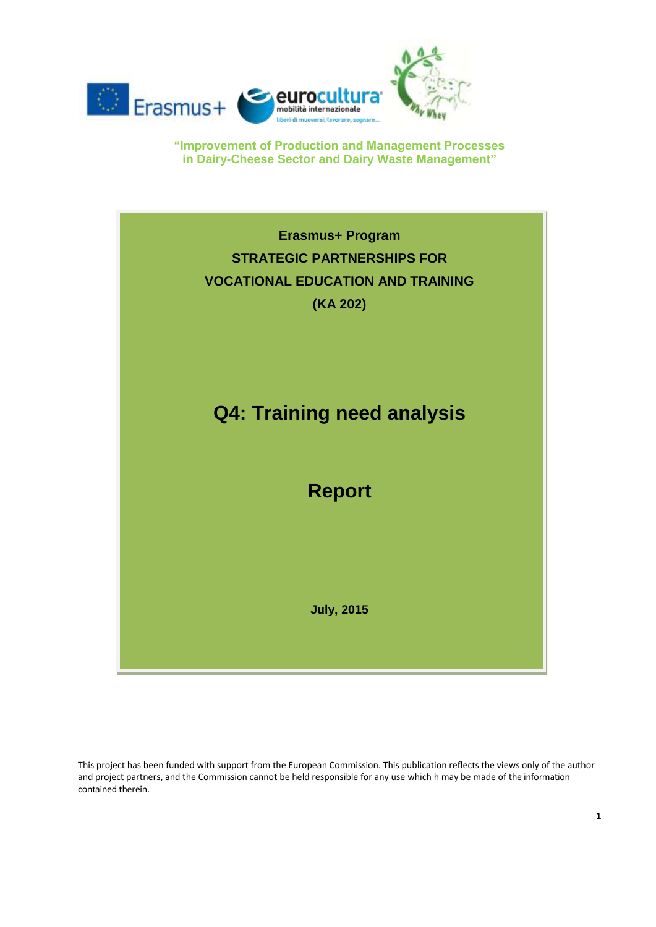



This project has been funded with support from the European Commission. This publication reflects the views only of the author and project partners, and the Commission cannot be held responsible for any use which h may be made of the information contained therein.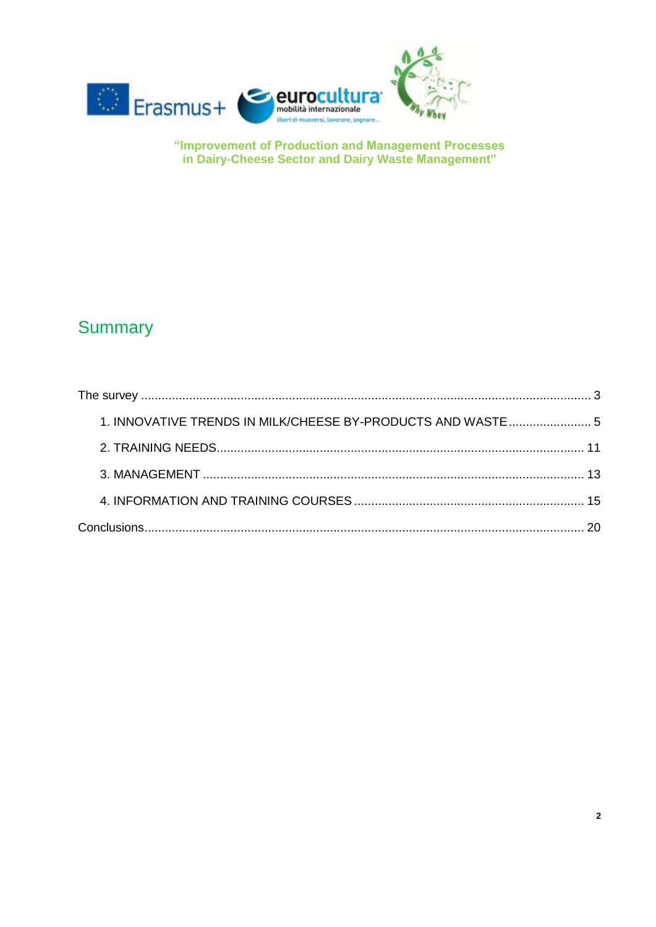

# **Summary**

| 1. INNOVATIVE TRENDS IN MILK/CHEESE BY-PRODUCTS AND WASTE  5 |  |
|--------------------------------------------------------------|--|
|                                                              |  |
|                                                              |  |
|                                                              |  |
|                                                              |  |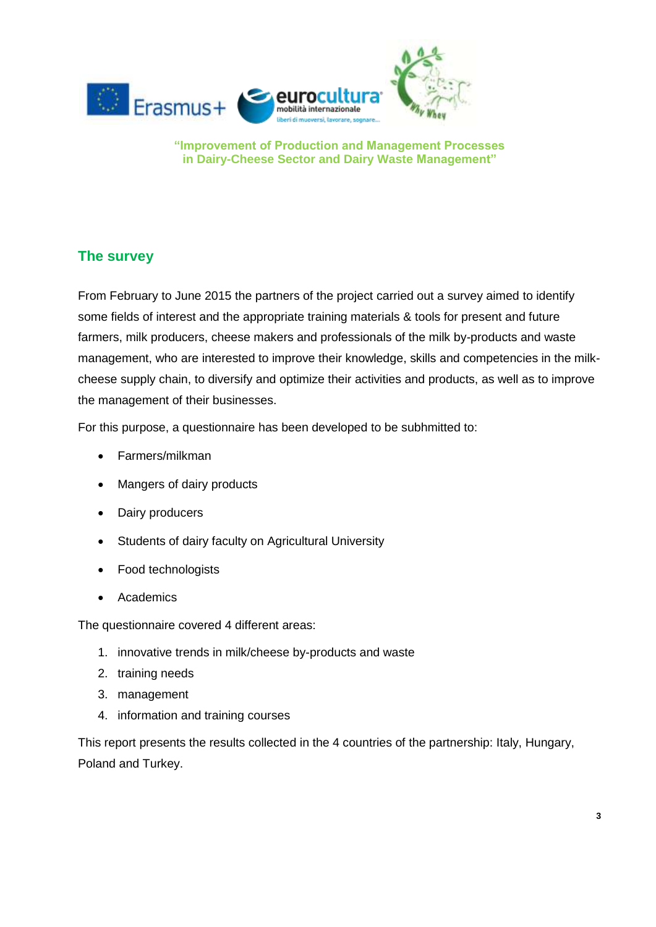

## <span id="page-2-0"></span>**The survey**

From February to June 2015 the partners of the project carried out a survey aimed to identify some fields of interest and the appropriate training materials & tools for present and future farmers, milk producers, cheese makers and professionals of the milk by-products and waste management, who are interested to improve their knowledge, skills and competencies in the milkcheese supply chain, to diversify and optimize their activities and products, as well as to improve the management of their businesses.

For this purpose, a questionnaire has been developed to be subhmitted to:

- Farmers/milkman
- Mangers of dairy products
- Dairy producers
- Students of dairy faculty on Agricultural University
- Food technologists
- Academics

The questionnaire covered 4 different areas:

- 1. innovative trends in milk/cheese by-products and waste
- 2. training needs
- 3. management
- 4. information and training courses

This report presents the results collected in the 4 countries of the partnership: Italy, Hungary, Poland and Turkey.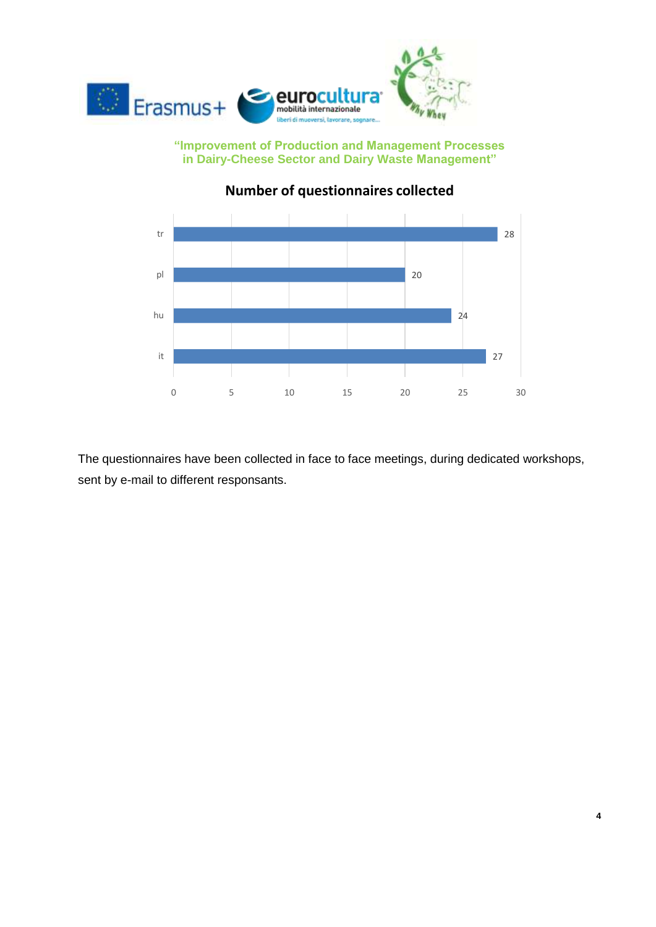



# **Number of questionnaires collected**

The questionnaires have been collected in face to face meetings, during dedicated workshops, sent by e-mail to different responsants.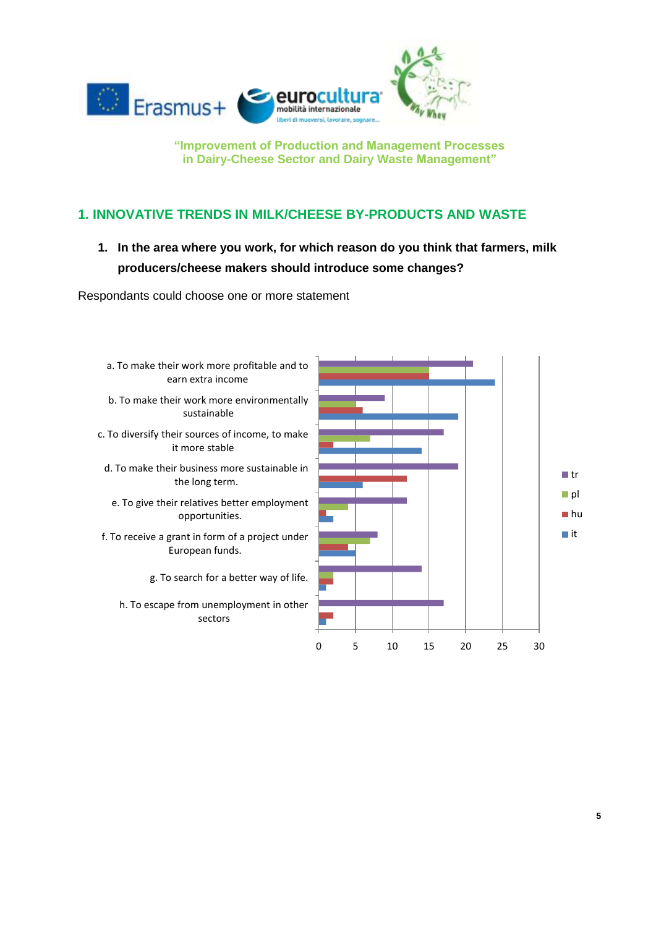

### <span id="page-4-0"></span>**1. INNOVATIVE TRENDS IN MILK/CHEESE BY-PRODUCTS AND WASTE**

**1. In the area where you work, for which reason do you think that farmers, milk producers/cheese makers should introduce some changes?** 

Respondants could choose one or more statement

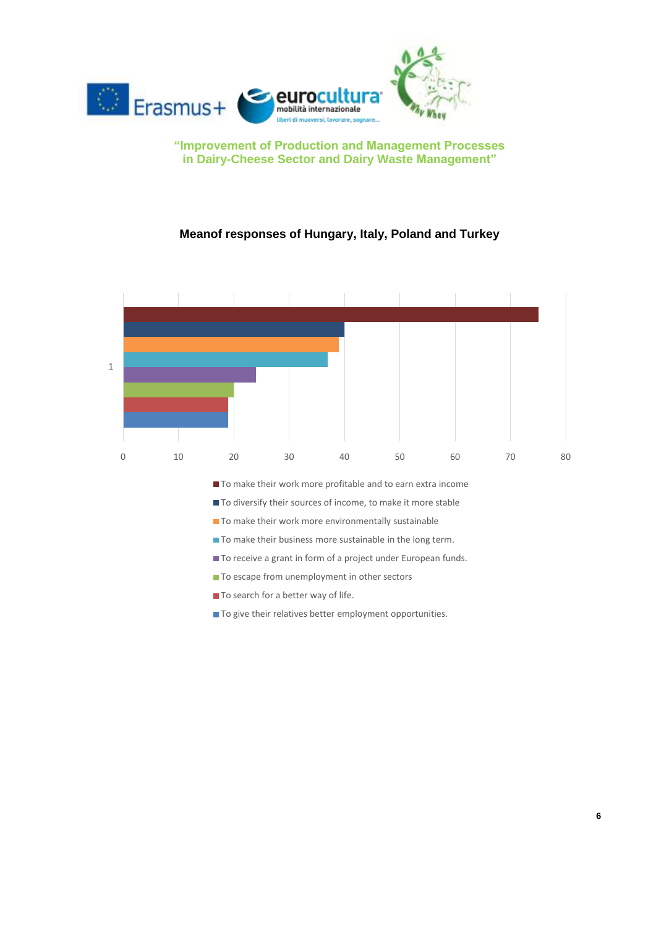

#### **Meanof responses of Hungary, Italy, Poland and Turkey**



 $\blacksquare$  To give their relatives better employment opportunities.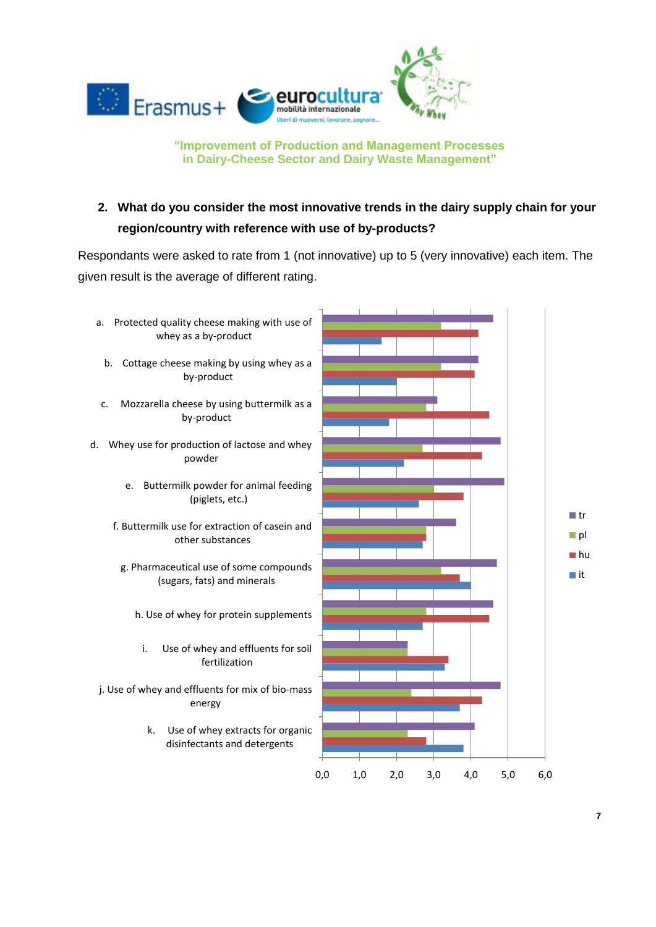

# **2. What do you consider the most innovative trends in the dairy supply chain for your region/country with reference with use of by-products?**

Respondants were asked to rate from 1 (not innovative) up to 5 (very innovative) each item. The given result is the average of different rating.

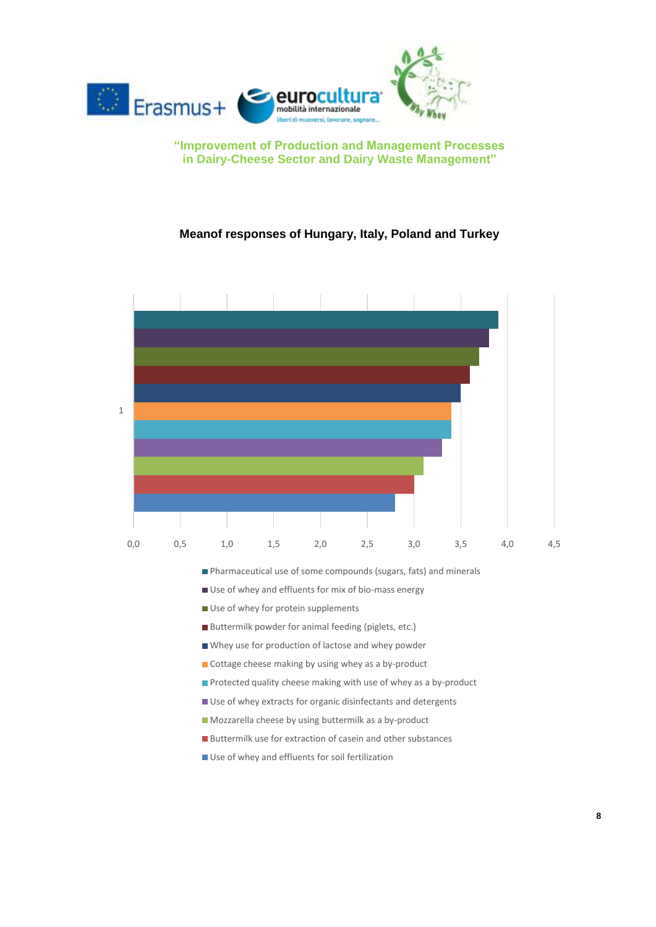

#### **Meanof responses of Hungary, Italy, Poland and Turkey**



- Pharmaceutical use of some compounds (sugars, fats) and minerals
- Use of whey and effluents for mix of bio-mass energy
- Use of whey for protein supplements
- Buttermilk powder for animal feeding (piglets, etc.)
- Whey use for production of lactose and whey powder
- Cottage cheese making by using whey as a by-product
- **Protected quality cheese making with use of whey as a by-product**
- Use of whey extracts for organic disinfectants and detergents
- Mozzarella cheese by using buttermilk as a by-product
- Buttermilk use for extraction of casein and other substances
- Use of whey and effluents for soil fertilization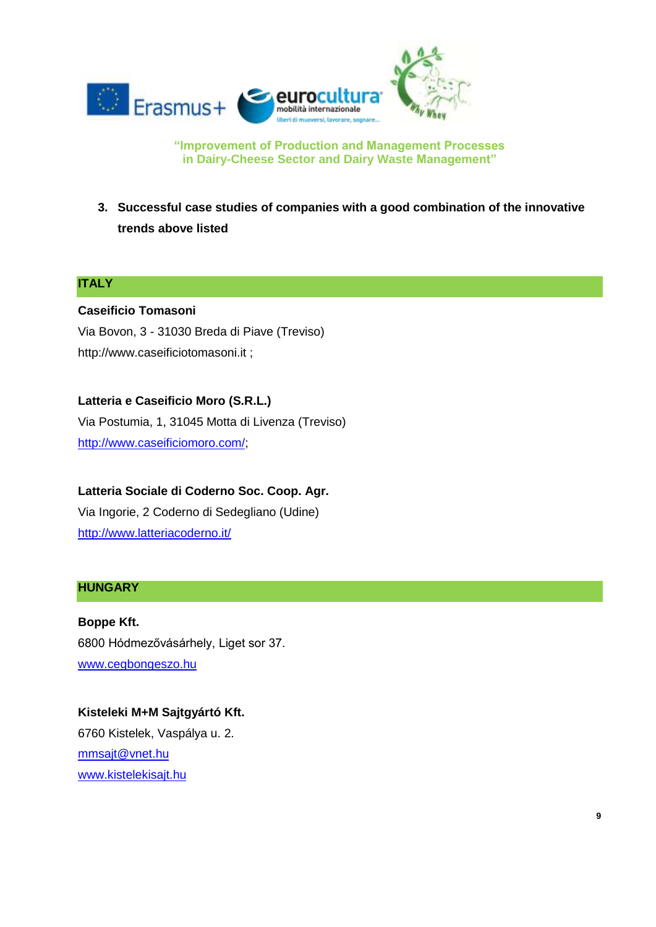

**3. Successful case studies of companies with a good combination of the innovative trends above listed**

#### **ITALY**

#### **Caseificio Tomasoni**

Via Bovon, 3 - 31030 Breda di Piave (Treviso) http://www.caseificiotomasoni.it ;

#### **Latteria e Caseificio Moro (S.R.L.)**

Via Postumia, 1, 31045 Motta di Livenza (Treviso) [http://www.caseificiomoro.com/;](http://www.caseificiomoro.com/)

**Latteria Sociale di Coderno Soc. Coop. Agr.** Via Ingorie, 2 Coderno di Sedegliano (Udine) <http://www.latteriacoderno.it/>

#### **HUNGARY**

**Boppe Kft.**  6800 Hódmezővásárhely, Liget sor 37. [www.cegbongeszo.hu](http://www.cegbongeszo.hu/kereses.php?uj=1&ossz_keres=Keress%21&osszetett_cegnev=Boppe%20Kft.)

**Kisteleki M+M Sajtgyártó Kft.** 6760 Kistelek, Vaspálya u. 2. [mmsajt@vnet.hu](mailto:mmsajt@vnet.hu) [www.kistelekisajt.hu](http://www.kistelekisajt.hu/)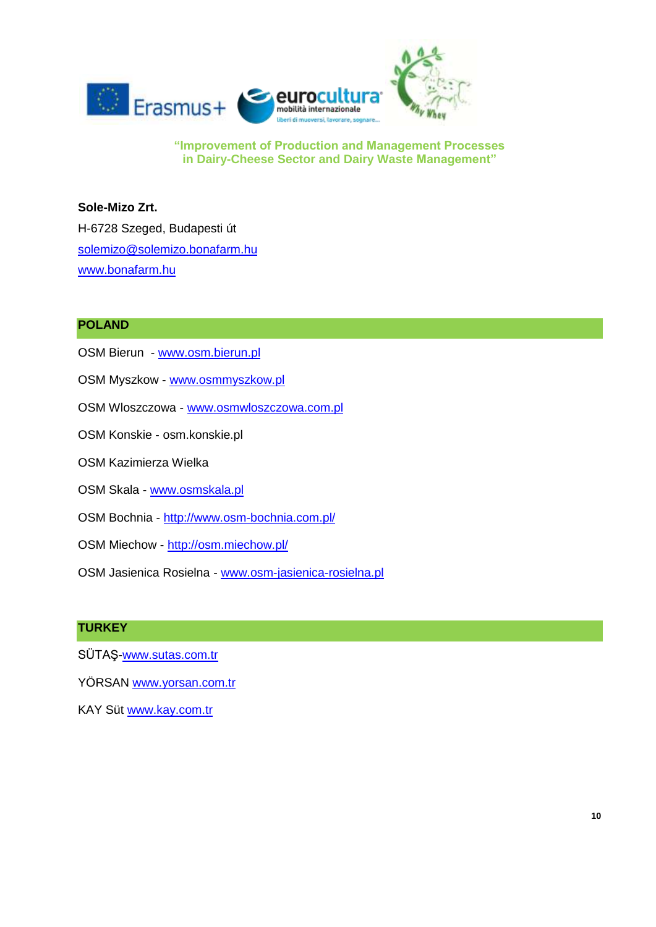

**Sole-Mizo Zrt.**  H-6728 Szeged, Budapesti út [solemizo@solemizo.bonafarm.hu](mailto:solemizo@solemizo.bonafarm.hu) [www.bonafarm.hu](http://www.bonafarm.hu/)

#### **POLAND**

- OSM Bierun [www.osm.bierun.pl](http://www.osm.bierun.pl/)
- OSM Myszkow [www.osmmyszkow.pl](http://www.osmmyszkow.pl/)
- OSM Wloszczowa [www.osmwloszczowa.com.pl](http://www.osmwloszczowa.com.pl/)
- OSM Konskie osm.konskie.pl
- OSM Kazimierza Wielka
- OSM Skala [www.osmskala.pl](http://www.osmskala.pl/)
- OSM Bochnia <http://www.osm-bochnia.com.pl/>
- OSM Miechow <http://osm.miechow.pl/>
- OSM Jasienica Rosielna [www.osm-jasienica-rosielna.pl](http://www.osm-jasienica-rosielna.pl/)

#### **TURKEY**

- SÜTAŞ[-www.sutas.com.tr](http://www.sutas.com.tr/)
- YÖRSAN [www.yorsan.com.tr](http://www.yorsan.com.tr/)
- KAY Süt [www.kay.com.tr](http://www.kay.com.tr/)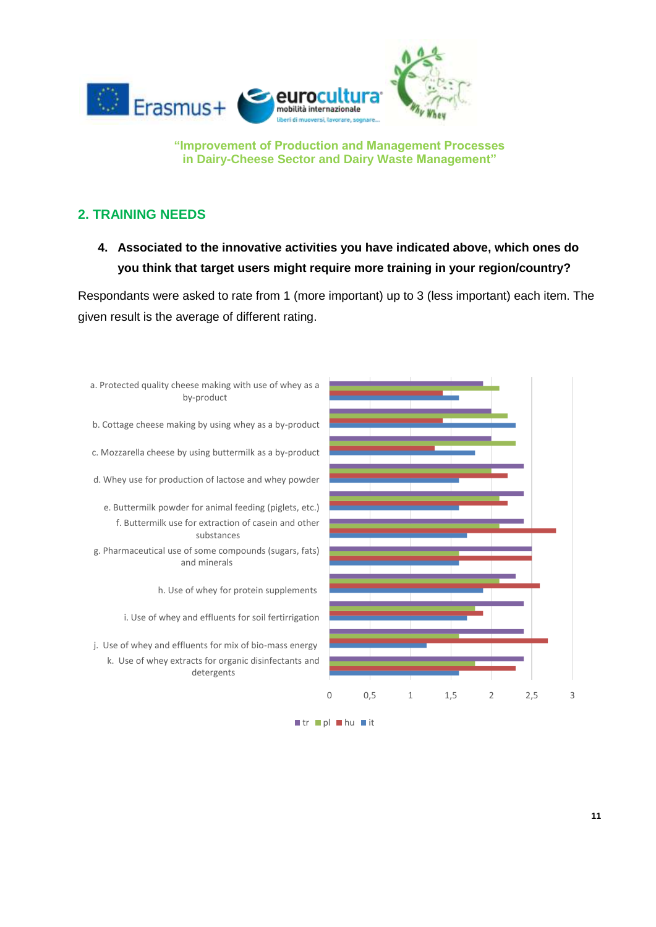

### <span id="page-10-0"></span>**2. TRAINING NEEDS**

**4. Associated to the innovative activities you have indicated above, which ones do you think that target users might require more training in your region/country?** 

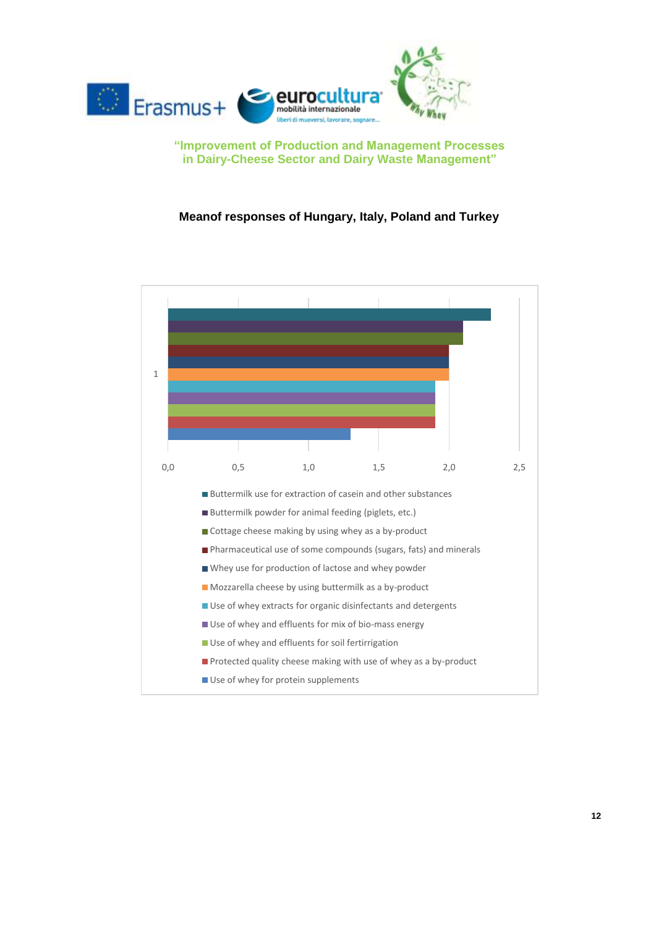

#### **Meanof responses of Hungary, Italy, Poland and Turkey**

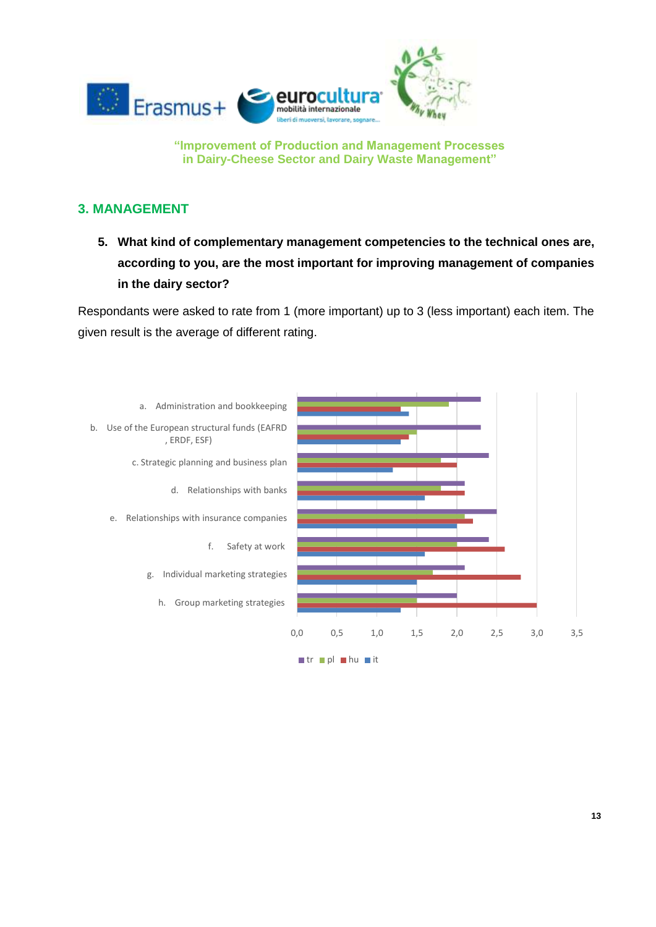

#### <span id="page-12-0"></span>**3. MANAGEMENT**

**5. What kind of complementary management competencies to the technical ones are, according to you, are the most important for improving management of companies in the dairy sector?**

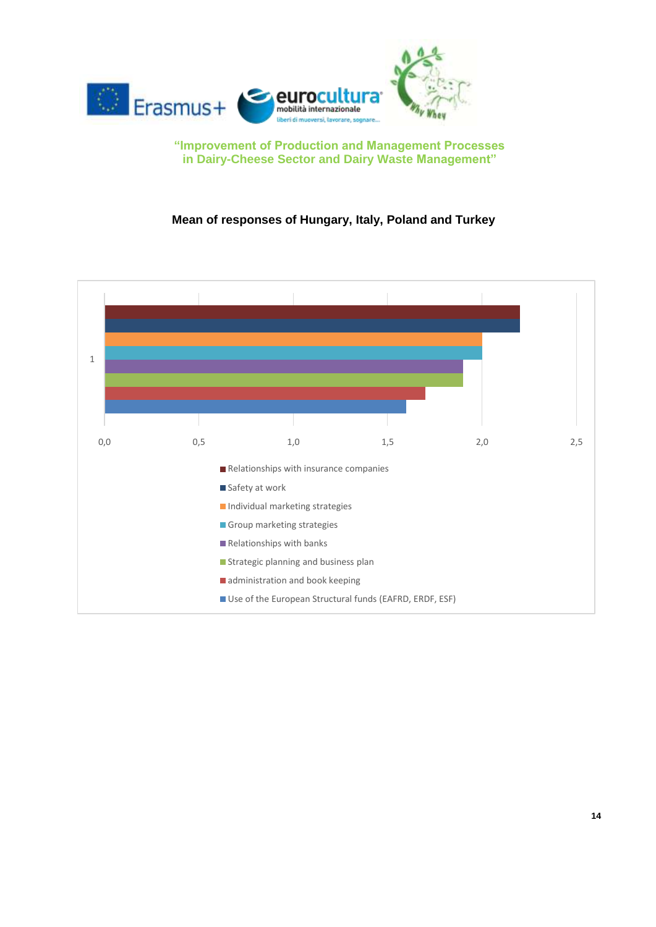

#### **Mean of responses of Hungary, Italy, Poland and Turkey**

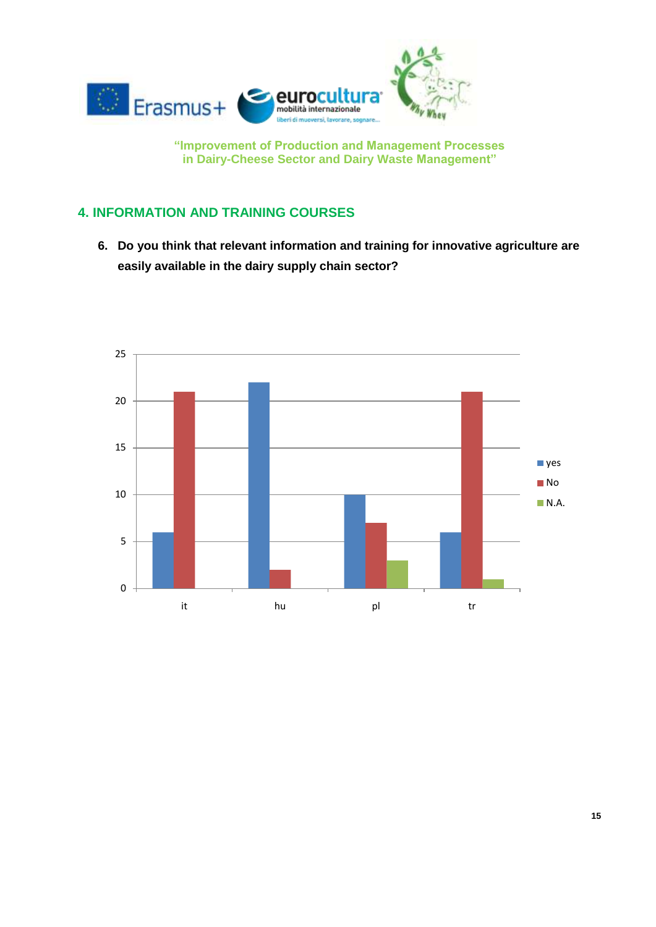

### <span id="page-14-0"></span>**4. INFORMATION AND TRAINING COURSES**

**6. Do you think that relevant information and training for innovative agriculture are easily available in the dairy supply chain sector?** 

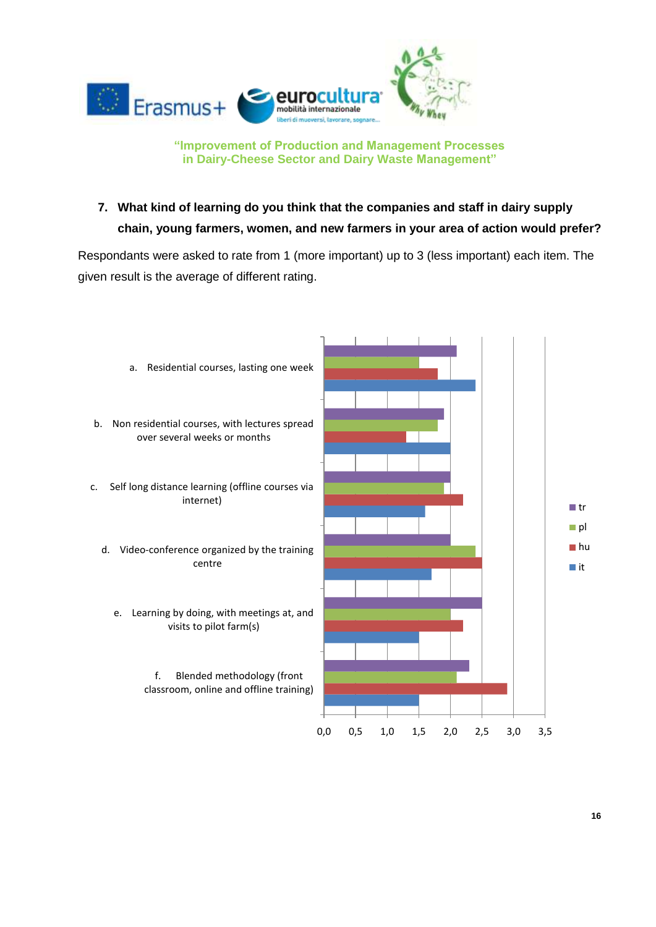

**7. What kind of learning do you think that the companies and staff in dairy supply chain, young farmers, women, and new farmers in your area of action would prefer?**

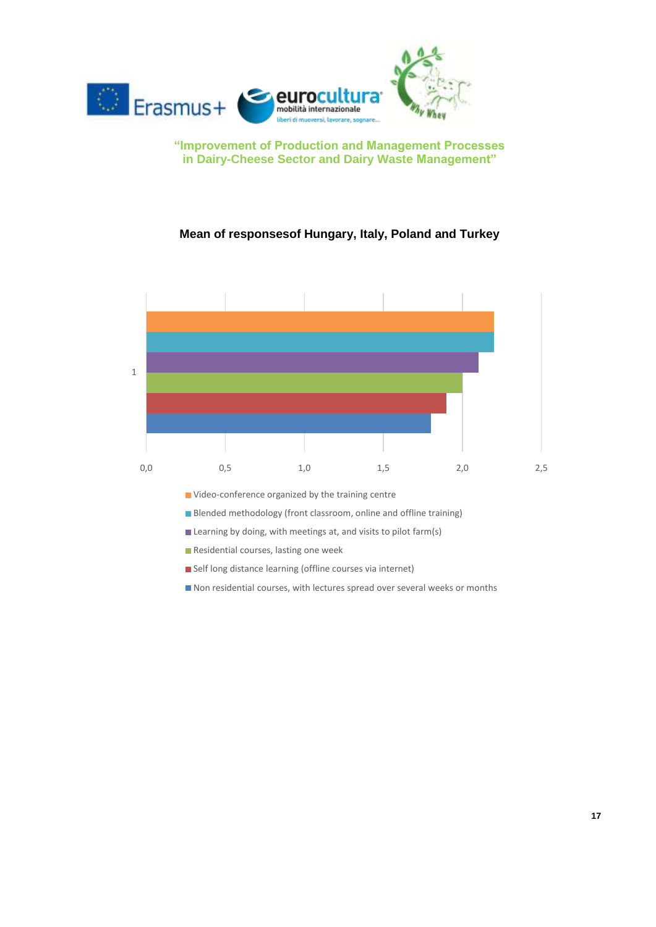

#### **Mean of responsesof Hungary, Italy, Poland and Turkey**



- Self long distance learning (offline courses via internet)
- Non residential courses, with lectures spread over several weeks or months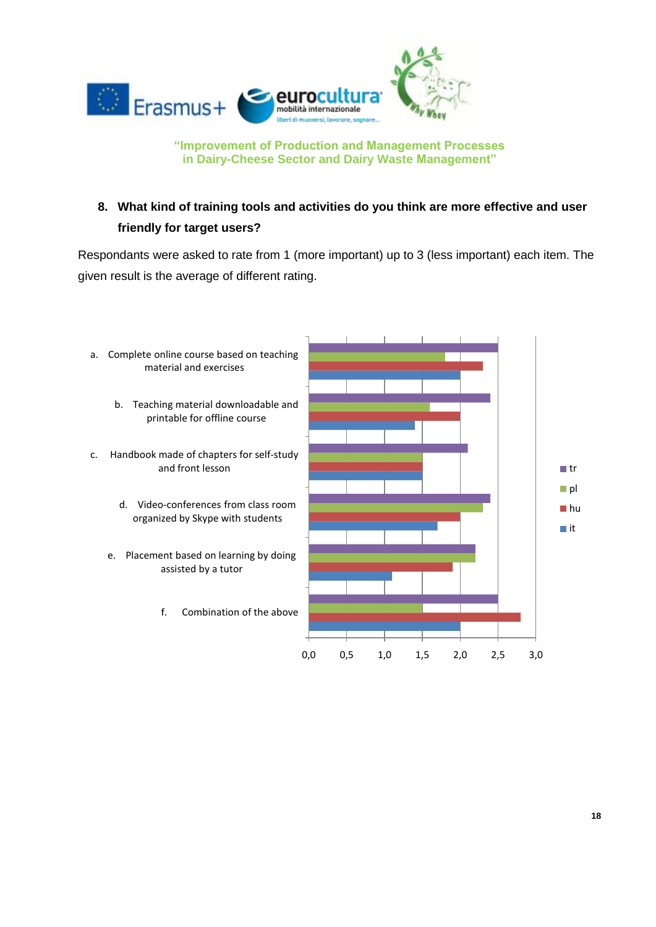

## **8. What kind of training tools and activities do you think are more effective and user friendly for target users?**

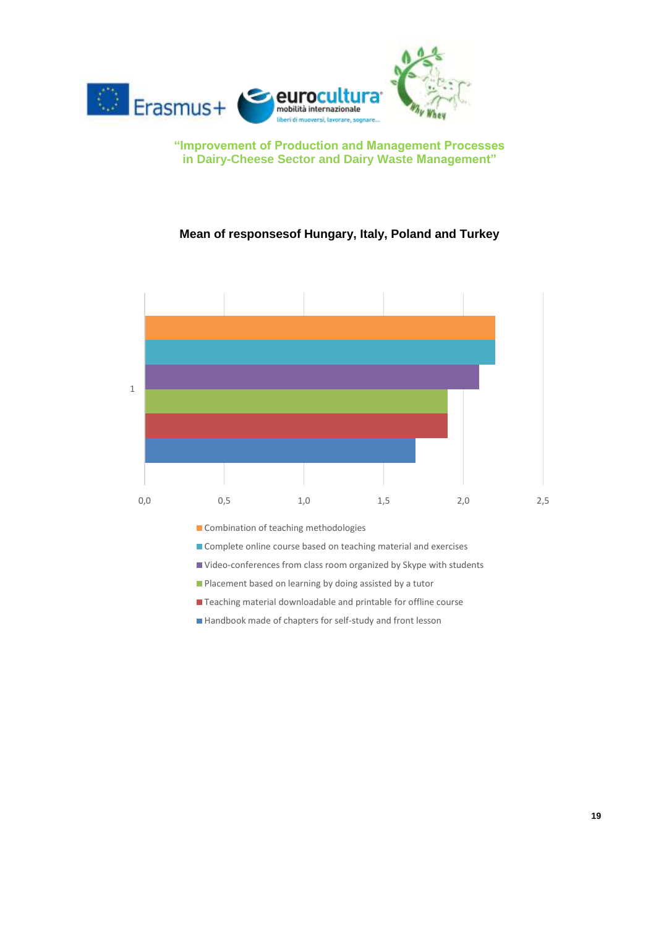

#### **Mean of responsesof Hungary, Italy, Poland and Turkey**



- **Placement based on learning by doing assisted by a tutor**
- Teaching material downloadable and printable for offline course
- Handbook made of chapters for self-study and front lesson